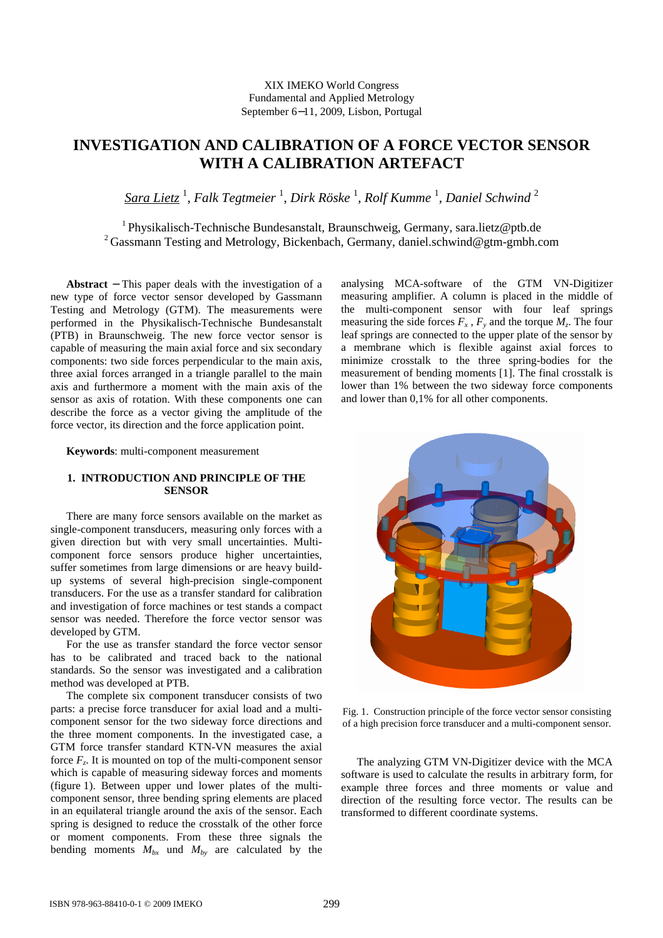## XIX IMEKO World Congress Fundamental and Applied Metrology September 6−11, 2009, Lisbon, Portugal

# **INVESTIGATION AND CALIBRATION OF A FORCE VECTOR SENSOR WITH A CALIBRATION ARTEFACT**

 $\frac{Sara\; Lietz}{s}$  , Falk Tegtmeier  $^1$ , Dirk Röske  $^1$ , Rolf Kumme  $^1$ , Daniel Schwind  $^2$ 

<sup>1</sup>Physikalisch-Technische Bundesanstalt, Braunschweig, Germany, sara.lietz@ptb.de <sup>2</sup> Gassmann Testing and Metrology, Bickenbach, Germany, daniel.schwind@gtm-gmbh.com

**Abstract** − This paper deals with the investigation of a new type of force vector sensor developed by Gassmann Testing and Metrology (GTM). The measurements were performed in the Physikalisch-Technische Bundesanstalt (PTB) in Braunschweig. The new force vector sensor is capable of measuring the main axial force and six secondary components: two side forces perpendicular to the main axis, three axial forces arranged in a triangle parallel to the main axis and furthermore a moment with the main axis of the sensor as axis of rotation. With these components one can describe the force as a vector giving the amplitude of the force vector, its direction and the force application point.

**Keywords**: multi-component measurement

# **1. INTRODUCTION AND PRINCIPLE OF THE SENSOR**

There are many force sensors available on the market as single-component transducers, measuring only forces with a given direction but with very small uncertainties. Multicomponent force sensors produce higher uncertainties, suffer sometimes from large dimensions or are heavy buildup systems of several high-precision single-component transducers. For the use as a transfer standard for calibration and investigation of force machines or test stands a compact sensor was needed. Therefore the force vector sensor was developed by GTM.

For the use as transfer standard the force vector sensor has to be calibrated and traced back to the national standards. So the sensor was investigated and a calibration method was developed at PTB.

The complete six component transducer consists of two parts: a precise force transducer for axial load and a multicomponent sensor for the two sideway force directions and the three moment components. In the investigated case, a GTM force transfer standard KTN-VN measures the axial force  $F_z$ . It is mounted on top of the multi-component sensor which is capable of measuring sideway forces and moments (figure 1). Between upper und lower plates of the multicomponent sensor, three bending spring elements are placed in an equilateral triangle around the axis of the sensor. Each spring is designed to reduce the crosstalk of the other force or moment components. From these three signals the bending moments  $M_{bx}$  und  $M_{by}$  are calculated by the

analysing MCA-software of the GTM VN-Digitizer measuring amplifier. A column is placed in the middle of the multi-component sensor with four leaf springs measuring the side forces  $F_x$ ,  $F_y$  and the torque  $M_z$ . The four leaf springs are connected to the upper plate of the sensor by a membrane which is flexible against axial forces to minimize crosstalk to the three spring-bodies for the measurement of bending moments [1]. The final crosstalk is lower than 1% between the two sideway force components and lower than 0,1% for all other components.



Fig. 1. Construction principle of the force vector sensor consisting of a high precision force transducer and a multi-component sensor.

The analyzing GTM VN-Digitizer device with the MCA software is used to calculate the results in arbitrary form, for example three forces and three moments or value and direction of the resulting force vector. The results can be transformed to different coordinate systems.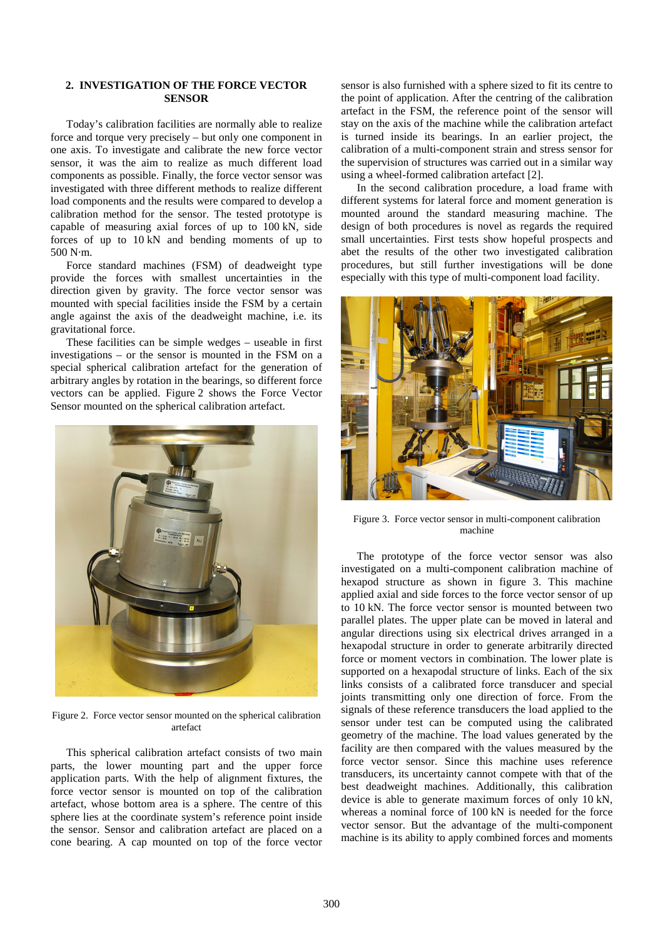### **2. INVESTIGATION OF THE FORCE VECTOR SENSOR**

Today's calibration facilities are normally able to realize force and torque very precisely – but only one component in one axis. To investigate and calibrate the new force vector sensor, it was the aim to realize as much different load components as possible. Finally, the force vector sensor was investigated with three different methods to realize different load components and the results were compared to develop a calibration method for the sensor. The tested prototype is capable of measuring axial forces of up to 100 kN, side forces of up to 10 kN and bending moments of up to 500 N·m.

Force standard machines (FSM) of deadweight type provide the forces with smallest uncertainties in the direction given by gravity. The force vector sensor was mounted with special facilities inside the FSM by a certain angle against the axis of the deadweight machine, i.e. its gravitational force.

These facilities can be simple wedges – useable in first investigations – or the sensor is mounted in the FSM on a special spherical calibration artefact for the generation of arbitrary angles by rotation in the bearings, so different force vectors can be applied. Figure 2 shows the Force Vector Sensor mounted on the spherical calibration artefact.



Figure 2. Force vector sensor mounted on the spherical calibration artefact

This spherical calibration artefact consists of two main parts, the lower mounting part and the upper force application parts. With the help of alignment fixtures, the force vector sensor is mounted on top of the calibration artefact, whose bottom area is a sphere. The centre of this sphere lies at the coordinate system's reference point inside the sensor. Sensor and calibration artefact are placed on a cone bearing. A cap mounted on top of the force vector sensor is also furnished with a sphere sized to fit its centre to the point of application. After the centring of the calibration artefact in the FSM, the reference point of the sensor will stay on the axis of the machine while the calibration artefact is turned inside its bearings. In an earlier project, the calibration of a multi-component strain and stress sensor for the supervision of structures was carried out in a similar way using a wheel-formed calibration artefact [2].

In the second calibration procedure, a load frame with different systems for lateral force and moment generation is mounted around the standard measuring machine. The design of both procedures is novel as regards the required small uncertainties. First tests show hopeful prospects and abet the results of the other two investigated calibration procedures, but still further investigations will be done especially with this type of multi-component load facility.



Figure 3. Force vector sensor in multi-component calibration machine

The prototype of the force vector sensor was also investigated on a multi-component calibration machine of hexapod structure as shown in figure 3. This machine applied axial and side forces to the force vector sensor of up to 10 kN. The force vector sensor is mounted between two parallel plates. The upper plate can be moved in lateral and angular directions using six electrical drives arranged in a hexapodal structure in order to generate arbitrarily directed force or moment vectors in combination. The lower plate is supported on a hexapodal structure of links. Each of the six links consists of a calibrated force transducer and special joints transmitting only one direction of force. From the signals of these reference transducers the load applied to the sensor under test can be computed using the calibrated geometry of the machine. The load values generated by the facility are then compared with the values measured by the force vector sensor. Since this machine uses reference transducers, its uncertainty cannot compete with that of the best deadweight machines. Additionally, this calibration device is able to generate maximum forces of only 10 kN, whereas a nominal force of 100 kN is needed for the force vector sensor. But the advantage of the multi-component machine is its ability to apply combined forces and moments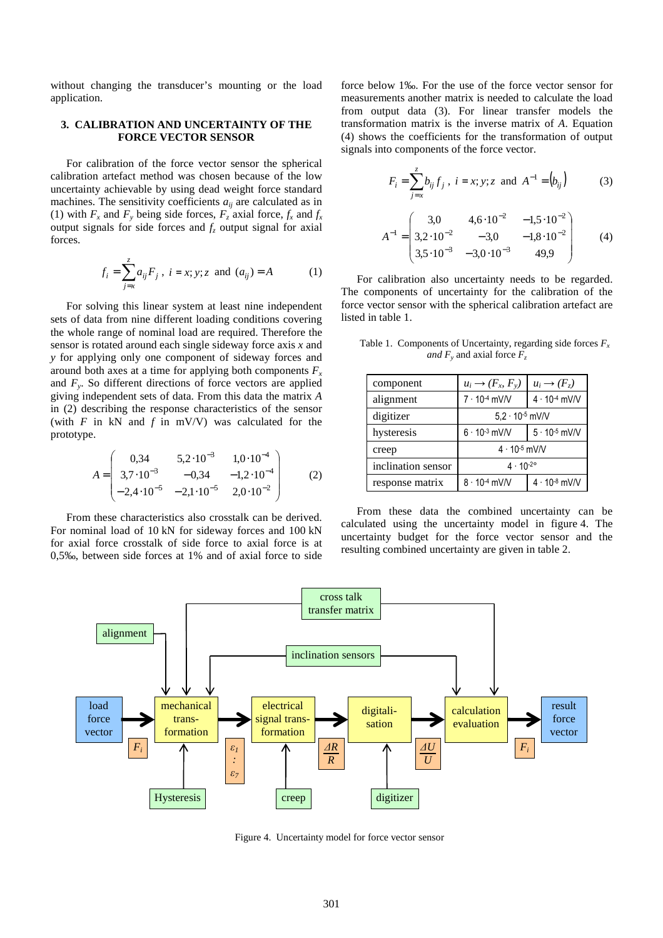without changing the transducer's mounting or the load application.

#### **3. CALIBRATION AND UNCERTAINTY OF THE FORCE VECTOR SENSOR**

For calibration of the force vector sensor the spherical calibration artefact method was chosen because of the low uncertainty achievable by using dead weight force standard machines. The sensitivity coefficients  $a_{ii}$  are calculated as in (1) with  $F_x$  and  $F_y$  being side forces,  $F_z$  axial force,  $f_x$  and  $f_x$ output signals for side forces and  $f<sub>z</sub>$  output signal for axial forces.

$$
f_i = \sum_{j=x}^{z} a_{ij} F_j, \ i = x; y; z \text{ and } (a_{ij}) = A
$$
 (1)

For solving this linear system at least nine independent sets of data from nine different loading conditions covering the whole range of nominal load are required. Therefore the sensor is rotated around each single sideway force axis *x* and *y* for applying only one component of sideway forces and around both axes at a time for applying both components  $F_x$ and  $F_y$ . So different directions of force vectors are applied giving independent sets of data. From this data the matrix *A* in (2) describing the response characteristics of the sensor (with  $F$  in kN and  $f$  in mV/V) was calculated for the prototype.

$$
A = \begin{pmatrix} 0,34 & 5,2 \cdot 10^{-3} & 1,0 \cdot 10^{-4} \\ 3,7 \cdot 10^{-3} & -0,34 & -1,2 \cdot 10^{-4} \\ -2,4 \cdot 10^{-5} & -2,1 \cdot 10^{-5} & 2,0 \cdot 10^{-2} \end{pmatrix}
$$
 (2)

From these characteristics also crosstalk can be derived. For nominal load of 10 kN for sideway forces and 100 kN for axial force crosstalk of side force to axial force is at 0,5‰, between side forces at 1% and of axial force to side force below 1‰. For the use of the force vector sensor for measurements another matrix is needed to calculate the load from output data (3). For linear transfer models the transformation matrix is the inverse matrix of *A*. Equation (4) shows the coefficients for the transformation of output signals into components of the force vector.

$$
F_i = \sum_{j=x}^{z} b_{ij} f_j, \ i = x; y; z \text{ and } A^{-1} = (b_{ij})
$$
\n(3)  
\n
$$
A^{-1} = \begin{pmatrix} 3.0 & 4.6 \cdot 10^{-2} & -1.5 \cdot 10^{-2} \\ 3.2 \cdot 10^{-2} & -3.0 & -1.8 \cdot 10^{-2} \\ 3.5 \cdot 10^{-3} & -3.0 \cdot 10^{-3} & 49.9 \end{pmatrix}
$$

For calibration also uncertainty needs to be regarded. The components of uncertainty for the calibration of the force vector sensor with the spherical calibration artefact are listed in table 1.

Table 1. Components of Uncertainty, regarding side forces  $F_x$ *and F<sup>y</sup>* and axial force *F<sup>z</sup>*

| component          | $u_i \rightarrow (F_x, F_y)$ | $u_i \rightarrow (F_{\overline{z}})$ |
|--------------------|------------------------------|--------------------------------------|
| alignment          | $7 \cdot 10^{-4}$ mV/V       | $4 \cdot 10^{-4}$ mV/V               |
| digitizer          | $5,2 \cdot 10^{-5}$ mV/V     |                                      |
| hysteresis         | $6 \cdot 10^{-3}$ mV/V       | $5 \cdot 10^{-5}$ mV/V               |
| creep              | $4 \cdot 10^{-5}$ mV/V       |                                      |
| inclination sensor | $4 \cdot 10^{-2}$ °          |                                      |
| response matrix    | $8 \cdot 10^{-4}$ mV/V       | $4 \cdot 10^{-8}$ mV/V               |

From these data the combined uncertainty can be calculated using the uncertainty model in figure 4. The uncertainty budget for the force vector sensor and the resulting combined uncertainty are given in table 2.



Figure 4. Uncertainty model for force vector sensor